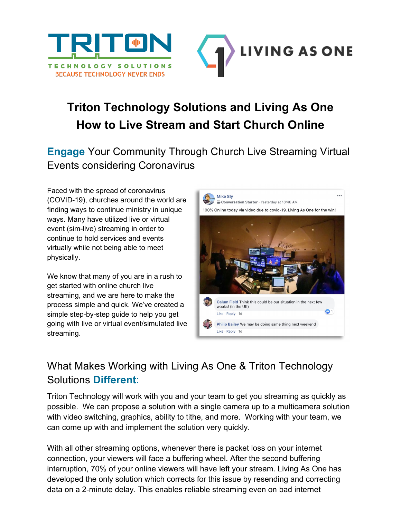



# **Triton Technology Solutions and Living As One How to Live Stream and Start Church Online**

# **Engage** Your Community Through Church Live Streaming Virtual Events considering Coronavirus

Faced with the spread of coronavirus (COVID-19), churches around the world are finding ways to continue ministry in unique ways. Many have utilized live or virtual event (sim-live) streaming in order to continue to hold services and events virtually while not being able to meet physically.

We know that many of you are in a rush to get started with online church live streaming, and we are here to make the process simple and quick. We've created a simple step-by-step guide to help you get going with live or virtual event/simulated live streaming.



# What Makes Working with Living As One & Triton Technology Solutions **Different**:

Triton Technology will work with you and your team to get you streaming as quickly as possible. We can propose a solution with a single camera up to a multicamera solution with video switching, graphics, ability to tithe, and more. Working with your team, we can come up with and implement the solution very quickly.

With all other streaming options, whenever there is packet loss on your internet connection, your viewers will face a buffering wheel. After the second buffering interruption, 70% of your online viewers will have left your stream. Living As One has developed the only solution which corrects for this issue by resending and correcting data on a 2-minute delay. This enables reliable streaming even on bad internet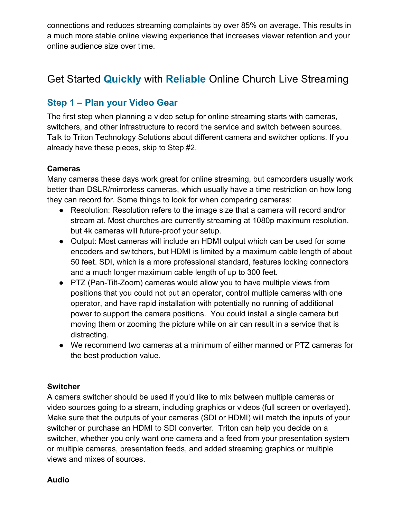connections and reduces streaming complaints by over 85% on average. This results in a much more stable online viewing experience that increases viewer retention and your online audience size over time.

# Get Started **Quickly** with **Reliable** Online Church Live Streaming

### **Step 1 – Plan your Video Gear**

The first step when planning a video setup for online streaming starts with cameras, switchers, and other infrastructure to record the service and switch between sources. Talk to Triton Technology Solutions about different camera and switcher options. If you already have these pieces, skip to Step #2.

#### **Cameras**

Many cameras these days work great for online streaming, but camcorders usually work better than DSLR/mirrorless cameras, which usually have a time restriction on how long they can record for. Some things to look for when comparing cameras:

- Resolution: Resolution refers to the image size that a camera will record and/or stream at. Most churches are currently streaming at 1080p maximum resolution, but 4k cameras will future-proof your setup.
- Output: Most cameras will include an HDMI output which can be used for some encoders and switchers, but HDMI is limited by a maximum cable length of about 50 feet. SDI, which is a more professional standard, features locking connectors and a much longer maximum cable length of up to 300 feet.
- PTZ (Pan-Tilt-Zoom) cameras would allow you to have multiple views from positions that you could not put an operator, control multiple cameras with one operator, and have rapid installation with potentially no running of additional power to support the camera positions. You could install a single camera but moving them or zooming the picture while on air can result in a service that is distracting.
- We recommend two cameras at a minimum of either manned or PTZ cameras for the best production value.

#### **Switcher**

A camera switcher should be used if you'd like to mix between multiple cameras or video sources going to a stream, including graphics or videos (full screen or overlayed). Make sure that the outputs of your cameras (SDI or HDMI) will match the inputs of your switcher or purchase an HDMI to SDI converter. Triton can help you decide on a switcher, whether you only want one camera and a feed from your presentation system or multiple cameras, presentation feeds, and added streaming graphics or multiple views and mixes of sources.

#### **Audio**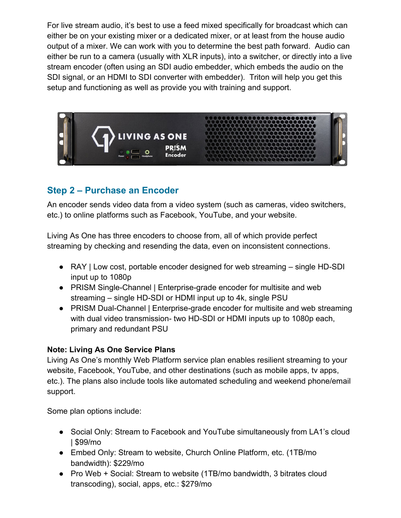For live stream audio, it's best to use a feed mixed specifically for broadcast which can either be on your existing mixer or a dedicated mixer, or at least from the house audio output of a mixer. We can work with you to determine the best path forward. Audio can either be run to a camera (usually with XLR inputs), into a switcher, or directly into a live stream encoder (often using an SDI audio embedder, which embeds the audio on the SDI signal, or an HDMI to SDI converter with embedder). Triton will help you get this setup and functioning as well as provide you with training and support.



## **Step 2 – Purchase an Encoder**

An encoder sends video data from a video system (such as cameras, video switchers, etc.) to online platforms such as Facebook, YouTube, and your website.

Living As One has three encoders to choose from, all of which provide perfect streaming by checking and resending the data, even on inconsistent connections.

- RAY | Low cost, portable encoder designed for web streaming single HD-SDI input up to 1080p
- PRISM Single-Channel | Enterprise-grade encoder for multisite and web streaming – single HD-SDI or HDMI input up to 4k, single PSU
- PRISM Dual-Channel | Enterprise-grade encoder for multisite and web streaming with dual video transmission- two HD-SDI or HDMI inputs up to 1080p each, primary and redundant PSU

#### **Note: Living As One Service Plans**

Living As One's monthly Web Platform service plan enables resilient streaming to your website, Facebook, YouTube, and other destinations (such as mobile apps, tv apps, etc.). The plans also include tools like automated scheduling and weekend phone/email support.

Some plan options include:

- Social Only: Stream to Facebook and YouTube simultaneously from LA1's cloud | \$99/mo
- Embed Only: Stream to website, Church Online Platform, etc. (1TB/mo bandwidth): \$229/mo
- Pro Web + Social: Stream to website (1TB/mo bandwidth, 3 bitrates cloud transcoding), social, apps, etc.: \$279/mo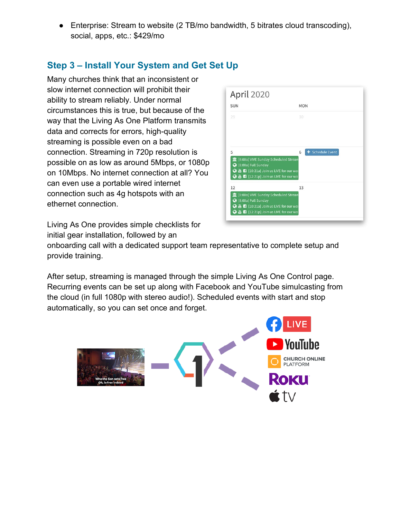● Enterprise: Stream to website (2 TB/mo bandwidth, 5 bitrates cloud transcoding), social, apps, etc.: \$429/mo

### **Step 3 – Install Your System and Get Set Up**

Many churches think that an inconsistent or slow internet connection will prohibit their ability to stream reliably. Under normal circumstances this is true, but because of the way that the Living As One Platform transmits data and corrects for errors, high-quality streaming is possible even on a bad connection. Streaming in 720p resolution is possible on as low as around 5Mbps, or 1080p on 10Mbps. No internet connection at all? You can even use a portable wired internet connection such as 4g hotspots with an ethernet connection.

Living As One provides simple checklists for initial gear installation, followed by an



onboarding call with a dedicated support team representative to complete setup and provide training.

After setup, streaming is managed through the simple Living As One Control page. Recurring events can be set up along with Facebook and YouTube simulcasting from the cloud (in full 1080p with stereo audio!). Scheduled events with start and stop automatically, so you can set once and forget.